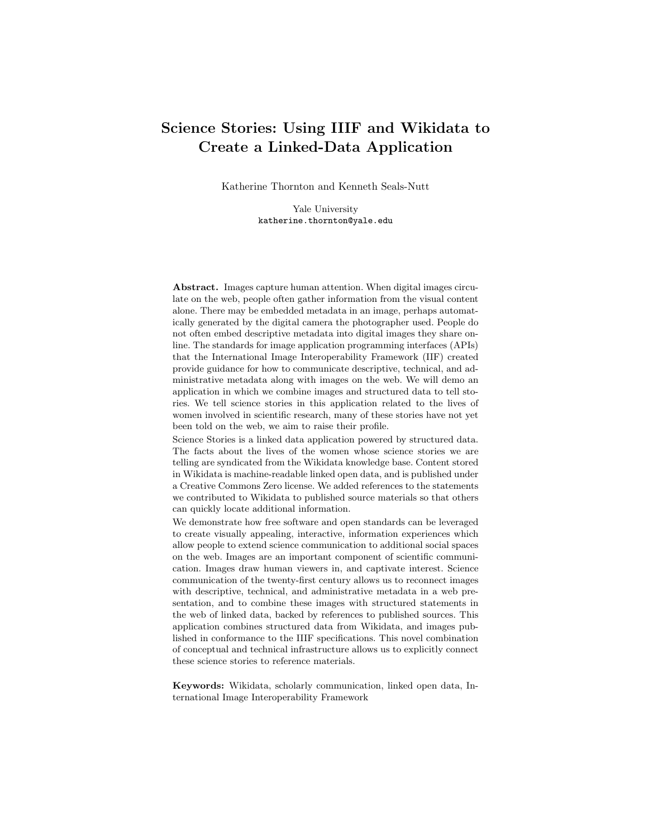# Science Stories: Using IIIF and Wikidata to Create a Linked-Data Application

Katherine Thornton and Kenneth Seals-Nutt

Yale University katherine.thornton@yale.edu

Abstract. Images capture human attention. When digital images circulate on the web, people often gather information from the visual content alone. There may be embedded metadata in an image, perhaps automatically generated by the digital camera the photographer used. People do not often embed descriptive metadata into digital images they share online. The standards for image application programming interfaces (APIs) that the International Image Interoperability Framework (IIF) created provide guidance for how to communicate descriptive, technical, and administrative metadata along with images on the web. We will demo an application in which we combine images and structured data to tell stories. We tell science stories in this application related to the lives of women involved in scientific research, many of these stories have not yet been told on the web, we aim to raise their profile.

Science Stories is a linked data application powered by structured data. The facts about the lives of the women whose science stories we are telling are syndicated from the Wikidata knowledge base. Content stored in Wikidata is machine-readable linked open data, and is published under a Creative Commons Zero license. We added references to the statements we contributed to Wikidata to published source materials so that others can quickly locate additional information.

We demonstrate how free software and open standards can be leveraged to create visually appealing, interactive, information experiences which allow people to extend science communication to additional social spaces on the web. Images are an important component of scientific communication. Images draw human viewers in, and captivate interest. Science communication of the twenty-first century allows us to reconnect images with descriptive, technical, and administrative metadata in a web presentation, and to combine these images with structured statements in the web of linked data, backed by references to published sources. This application combines structured data from Wikidata, and images published in conformance to the IIIF specifications. This novel combination of conceptual and technical infrastructure allows us to explicitly connect these science stories to reference materials.

Keywords: Wikidata, scholarly communication, linked open data, International Image Interoperability Framework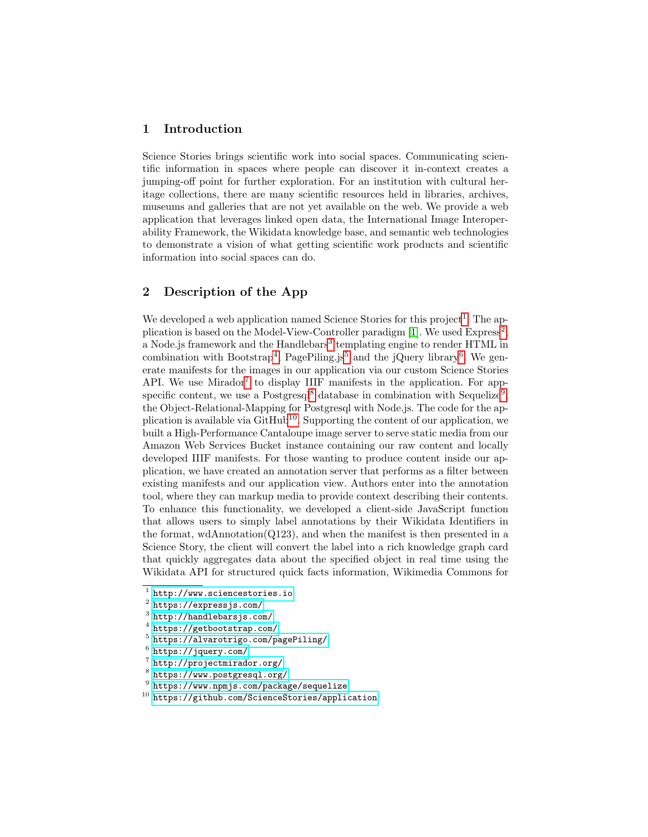## 1 Introduction

Science Stories brings scientific work into social spaces. Communicating scientific information in spaces where people can discover it in-context creates a jumping-off point for further exploration. For an institution with cultural heritage collections, there are many scientific resources held in libraries, archives, museums and galleries that are not yet available on the web. We provide a web application that leverages linked open data, the International Image Interoperability Framework, the Wikidata knowledge base, and semantic web technologies to demonstrate a vision of what getting scientific work products and scientific information into social spaces can do.

## 2 Description of the App

We developed a web application named Science Stories for this project<sup>[1](#page-1-0)</sup>. The ap-plication is based on the Model-View-Controller paradigm [\[1\]](#page-3-0). We used  $\text{Express}^2$  $\text{Express}^2$ , a Node.js framework and the Handlebars<sup>[3](#page-1-2)</sup> templating engine to render HTML in combination with Bootstrap<sup>[4](#page-1-3)</sup>, PagePiling.js<sup>[5](#page-1-4)</sup> and the jQuery library<sup>[6](#page-1-5)</sup>. We generate manifests for the images in our application via our custom Science Stories API. We use Mirador<sup>[7](#page-1-6)</sup> to display IIIF manifests in the application. For app-specific content, we use a Postgresq<sup>1[8](#page-1-7)</sup> database in combination with Sequelize<sup>[9](#page-1-8)</sup>, the Object-Relational-Mapping for Postgresql with Node.js. The code for the application is available via  $\text{GitHub}^{10}$  $\text{GitHub}^{10}$  $\text{GitHub}^{10}$ . Supporting the content of our application, we built a High-Performance Cantaloupe image server to serve static media from our Amazon Web Services Bucket instance containing our raw content and locally developed IIIF manifests. For those wanting to produce content inside our application, we have created an annotation server that performs as a filter between existing manifests and our application view. Authors enter into the annotation tool, where they can markup media to provide context describing their contents. To enhance this functionality, we developed a client-side JavaScript function that allows users to simply label annotations by their Wikidata Identifiers in the format, wdAnnotation(Q123), and when the manifest is then presented in a Science Story, the client will convert the label into a rich knowledge graph card that quickly aggregates data about the specified object in real time using the Wikidata API for structured quick facts information, Wikimedia Commons for

<span id="page-1-0"></span><sup>1</sup> <http://www.sciencestories.io>

<span id="page-1-1"></span> $^2$  <https://expressjs.com/>

<span id="page-1-2"></span><sup>3</sup> <http://handlebarsjs.com/>

<span id="page-1-3"></span><sup>4</sup> <https://getbootstrap.com/>

<span id="page-1-4"></span><sup>5</sup> <https://alvarotrigo.com/pagePiling/>

<span id="page-1-5"></span> $^6$  <https://jquery.com/>

<span id="page-1-6"></span><sup>7</sup> <http://projectmirador.org/>

<span id="page-1-7"></span><sup>8</sup> <https://www.postgresql.org/>

<span id="page-1-8"></span> $^9$  <https://www.npmjs.com/package/sequelize>

<span id="page-1-9"></span><sup>10</sup> <https://github.com/ScienceStories/application>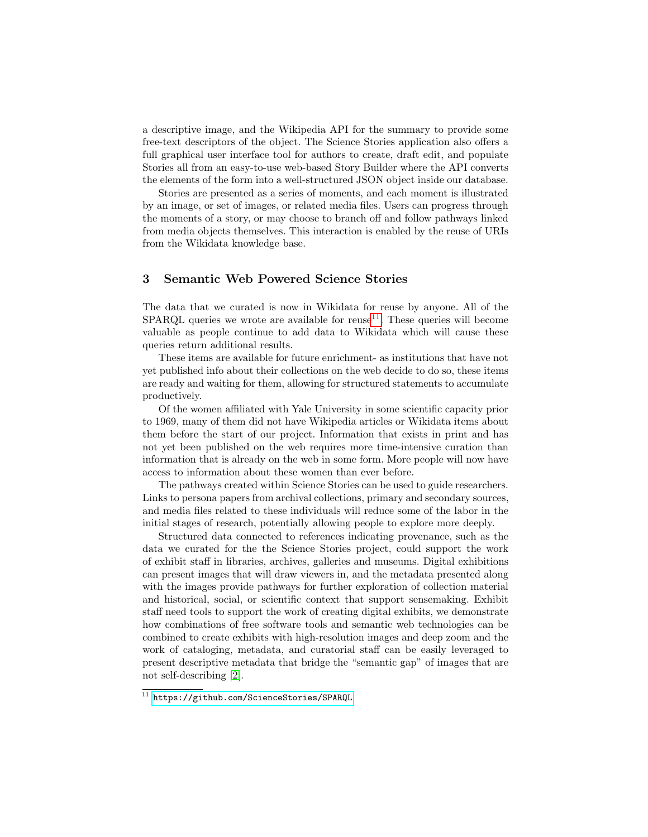a descriptive image, and the Wikipedia API for the summary to provide some free-text descriptors of the object. The Science Stories application also offers a full graphical user interface tool for authors to create, draft edit, and populate Stories all from an easy-to-use web-based Story Builder where the API converts the elements of the form into a well-structured JSON object inside our database.

Stories are presented as a series of moments, and each moment is illustrated by an image, or set of images, or related media files. Users can progress through the moments of a story, or may choose to branch off and follow pathways linked from media objects themselves. This interaction is enabled by the reuse of URIs from the Wikidata knowledge base.

### 3 Semantic Web Powered Science Stories

The data that we curated is now in Wikidata for reuse by anyone. All of the  $SPARQL$  queries we wrote are available for reuse<sup>[11](#page-2-0)</sup>. These queries will become valuable as people continue to add data to Wikidata which will cause these queries return additional results.

These items are available for future enrichment- as institutions that have not yet published info about their collections on the web decide to do so, these items are ready and waiting for them, allowing for structured statements to accumulate productively.

Of the women affiliated with Yale University in some scientific capacity prior to 1969, many of them did not have Wikipedia articles or Wikidata items about them before the start of our project. Information that exists in print and has not yet been published on the web requires more time-intensive curation than information that is already on the web in some form. More people will now have access to information about these women than ever before.

The pathways created within Science Stories can be used to guide researchers. Links to persona papers from archival collections, primary and secondary sources, and media files related to these individuals will reduce some of the labor in the initial stages of research, potentially allowing people to explore more deeply.

Structured data connected to references indicating provenance, such as the data we curated for the the Science Stories project, could support the work of exhibit staff in libraries, archives, galleries and museums. Digital exhibitions can present images that will draw viewers in, and the metadata presented along with the images provide pathways for further exploration of collection material and historical, social, or scientific context that support sensemaking. Exhibit staff need tools to support the work of creating digital exhibits, we demonstrate how combinations of free software tools and semantic web technologies can be combined to create exhibits with high-resolution images and deep zoom and the work of cataloging, metadata, and curatorial staff can be easily leveraged to present descriptive metadata that bridge the "semantic gap" of images that are not self-describing [\[2\]](#page-3-1).

<span id="page-2-0"></span><sup>&</sup>lt;sup>11</sup> <https://github.com/ScienceStories/SPARQL>